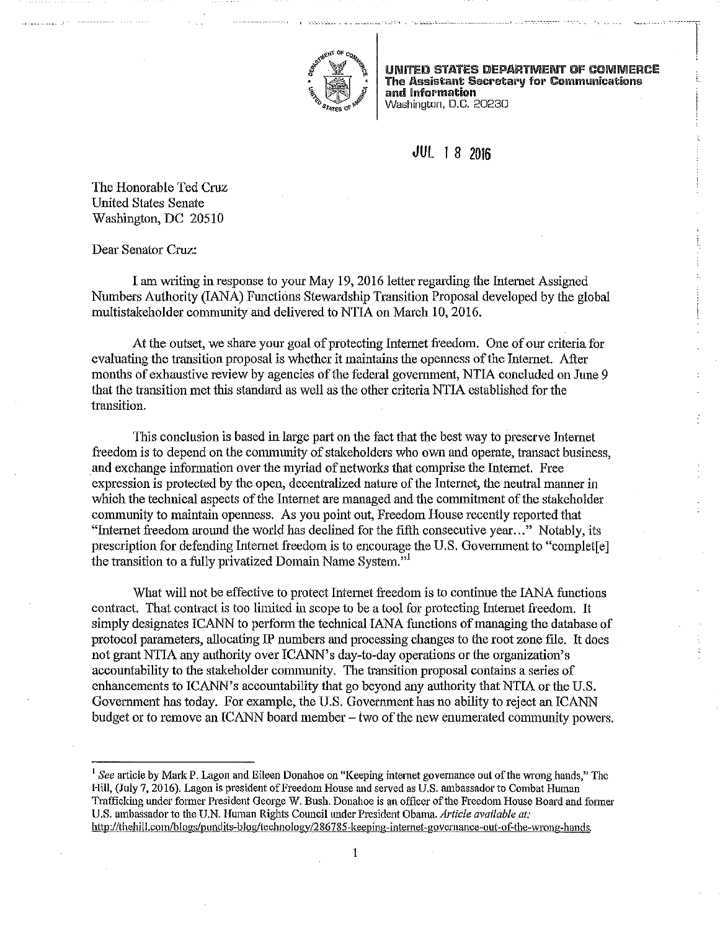

UNITED STATES DEPARTMENT OF COMMERCE The Assistant Secretary for Communications and Information Washington, D.C. 20230

range of the control of the control of the control of the control of the control of the control of the control of the control of the control of the control of the control of the control of the control of the control of the !

L

## **JUl** 1 8 **<sup>2016</sup>**

The Honorable Ted Cruz United States Senate Washington, DC 20510

Dear Senator Cruz:

I am writing in response to your May 19, 2016 letter regarding the Internet Assigned Numbers Authority (lANA) Functions Stewardship Transition Proposal developed by the global multistakeholder community and delivered to NTIA on March 10, 2016.

At the outset, we share your goal of protecting Internet freedom. One of om criteria for evaluating the transition proposal is whether it maintains the openness of the Internet. After months of exhaustive review by agencies of the federal government, NTIA concluded on June 9 that the transition met this standard as well as the other criteria NTIA established for the transition.

This conclusion is based in large part on the fact that the best way to preserve Internet freedom is to depend on the community of stakeholders who own and operate, transact business, and exchange information over the myriad of networks that comprise the Intemet. Free expression is protected by the open, decentralized nature of the Internet, the neutral manner in which the technical aspects of the Internet are managed and the commitment of the stakeholder community to maintain openness. As you point out, Freedom House recently reported that "Internet freedom around the world has declined for the fifth consecutive year..." Notably, its prescription for defending Internet freedom is to encourage the U.S. Government to "complet[e] the transition to a fully privatized Domain Name System."<sup>1</sup>

What will not be effective to protect Intemet freedom is to continue the lANA functions contract. That contract is too limited in scope to be a tool for protecting Intemet freedom. It simply designates ICANN to perform the teclmical lANA functions of managing the database of protocol parameters, allocating IP numbers and processing changes to the root zone file. It does not grant NTIA any authority over ICANN' s day-to-day operations or the organization's accountability to the stalceholder community. The transition proposal contains a series of enhancements to ICANN's accountability that go beyond any authority that NTIA or the U.S. Govemment has today. For example, the U.S. Government has no ability to reject an ICANN budget or to remove an ICANN board member  $-$  two of the new enumerated community powers,

<sup>1</sup> See article by Mark P. Lagon and Eileen Donahoe on "Keeping internet governance out of the wrong hands," The Hill, (July 7, 2016). Lagon is president of Freedom House and served as U.S. ambassador to Combat Human Trafficking under former President George W. Bush. Donahoe is an officer of the Freedom House Board and former U.S. ambassador to the U.N. Human Rights Council tmder President Obama. *Article available at:*  http://thehill.com/blogs/pundits-blog/technology/286785-keeping-internet-governance-out-of-the-wrong-hands.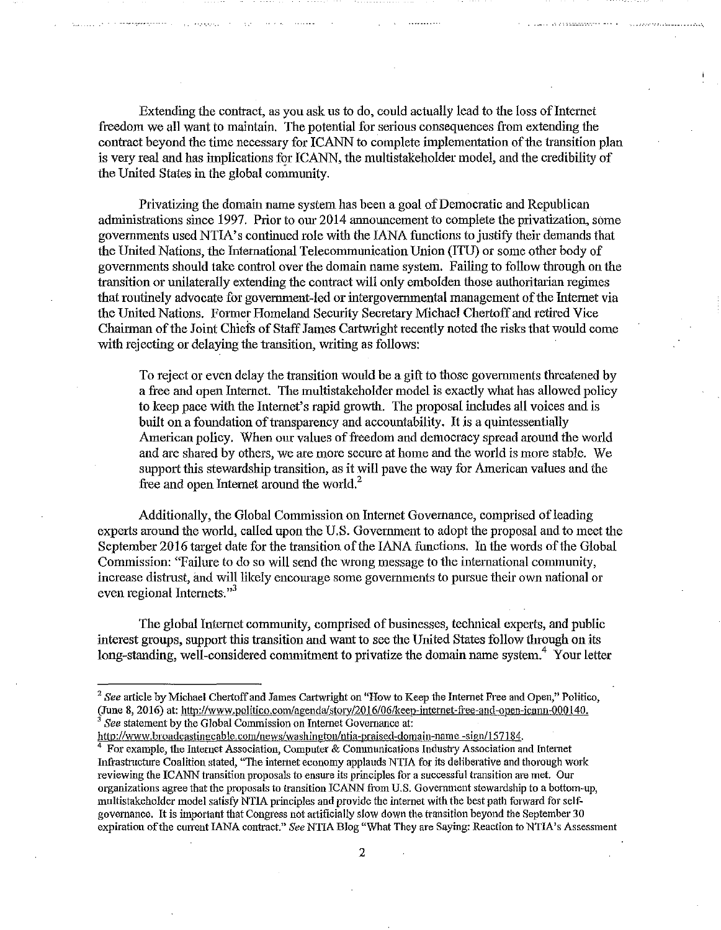Extending the contract, as you ask us to do, could actually lead to the loss of Internet freedom we all want to maintain. The potential for serious consequences from extending the contract beyond the time necessary for ICANN to complete implementation of the transition plan is very real and has implications for ICANN, the multistakeholder model, and the credibility of the United States in the global community.

Privatizing the domain name system has been a goal of Democratic and Republican administrations since 1997. Prior to our 2014 announcement to complete the privatization, some governments used NTIA's continued role with the IANA functions to justify their demands that the United Nations, the International Telecommunication Union (ITU) or some other body of governments should talce control over the domain name system. Failing to follow through on the transition or unilaterally extending the contract will only embolden those authoritarian regimes that routinely advocate for government-led or intergovernmental management of the futemet via the United Nations. Former Homeland Security Secretary Michael Chertoff and retired Vice Chairman of the Joint Chiefs of Staff James Cartwright recently noted the risks that would come with rejecting or delaying the transition, writing as follows:

To reject or even delay the transition would be a gift to those govenunents threatened by a free and open Internet. The multistakeholder model is exactly what has allowed policy to keep pace with the Internet's rapid growth. The proposal includes all voices and is built on a foundation of transparency and accountability. It is a quintessentially American policy. When our values of freedom and democracy spread around the world and are shared by others, we are more secure at home and the world is more stable. We support this stewardship transition, as it will pave the way for American values and the free and open Internet around the world.<sup>2</sup>

Additionally, the Global Commission on Internet Governance, comprised of leading experts around the world, called upon the U.S. Government to adopt the proposal and to meet the September 2016 target date for the transition of the lANA functions. In the words of the Global Commission: "Failure to do so will send the wrong message to the international community, increase distrust, and will likely encomage some governments to pursue their own national or even regional Internets."<sup>3</sup>

The global Intemet community, comprised of businesses, technical expetis, and public interest groups, support this transition and want to see the United States follow through on its long-standing, well-considered commitment to privatize the domain name system.<sup>4</sup> Your letter

<sup>2</sup>*See* article by Michael Chertoff and James Cartwright on "How to Keep the Internet Free and Open," Politico, (June 8, 2016) at: http://www.politico.com/agenda/story/2016/06/keep-internet-free-and-open-icann-000140.<br><sup>3</sup> *See* statement by the Global Commission on Internet Governance at:

http://www.broadcastingcable.com/news/washington/ntia-praised-domain-name -sign/157184.<br><sup>4</sup> For example, the Internet Association, Computer & Communications Industry Association and Internet Infrastructure Coalition stated, "The internet economy applauds NTIA for its deliberative and thorough work **reviewing the ICANN transition proposals to ensure its principles for a successful transition are met. Our**  organizations agree that the proposals to transition ICANN from U.S. Government stewardship to a bottom-up, multistakeholder model satisfy NTIA principles and provide the internet with the best path forward for selfgovernance. It is important that Congress not artificially stow down the transition beyond the September 30 expiration ofthe current lANA contract." *See* NTIA Blog "What They are Saying: Reaction to NTIA's Assessment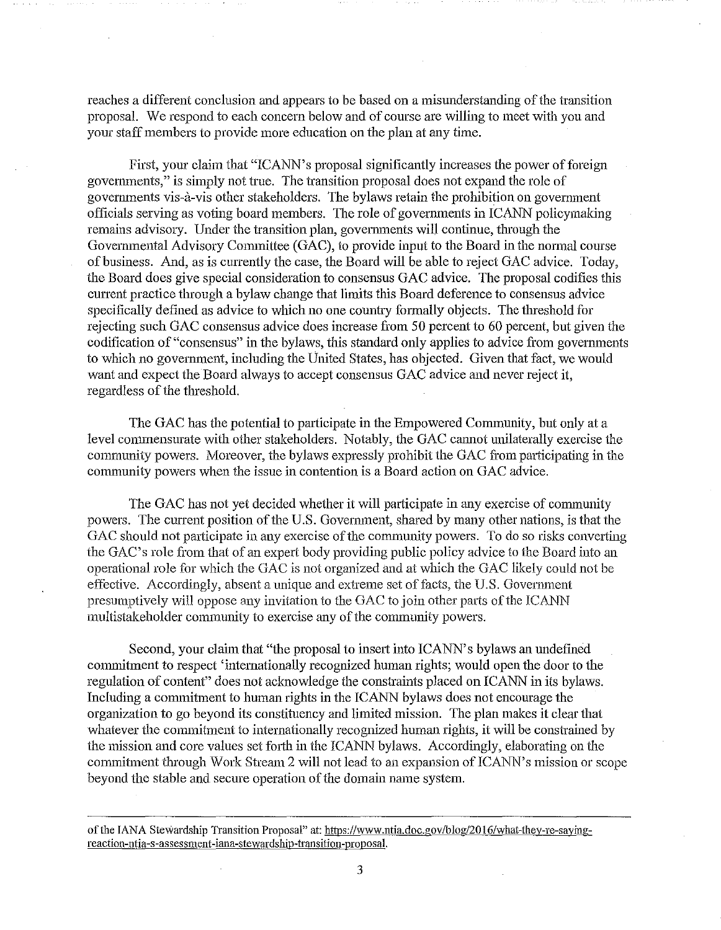reaches a different conclusion and appears to be based on a misunderstanding of the transition proposal. We respond to each concern below and of course are willing to meet with you and your staff members to provide more education on the plan at any time.

First, your claim that "ICANN's proposal significantly increases the power of foreign govenunents," is simply not true. The transition proposal does not expand the role of governments vis-à-vis other stakeholders. The bylaws retain the prohibition on government officials serving as voting board members. The role of governments in ICANN policymaking remains advisory. Under the transition plan, governments will continue, through the Governmental Advisory Committee (GAC), to provide input to the Board in the normal course of business. And, as is currently the case, the Board will be able to reject GAC advice. Today, the Board does give special consideration to consensus GAC advice. The proposal codifies this current practice through a bylaw change that limits this Board deference to consensus advice specifically defined as advice to which no one country formally objects. The threshold for rejecting snch GAC consensus advice does increase from 50 percent to 60 percent, but given the codification of "consensus" in the bylaws, this standard only applies to advice from governments to which no government, including the United States, has objected. Given that fact, we would want and expect the Board always to accept consensus GAC advice and never reject it, regardless of the threshold.

The GAC has the potential to participate in the Empowered Community, but only at a level commensurate with other stakeholders. Notably, the GAC cannot unilaterally exercise the community powers. Moreover, the bylaws expressly prohibit the GAC from participating in the community powers when the issue in contention is a Board action on GAC advice.

The GAC has not yet decided whether it will participate in any exercise of community powers. The current position of the U.S. Government, shared by many other nations, is that the GAC should not participate in any exercise of the community powers. To do so risks converting the GAC's role from that of an expert body providing public policy advice to the Board into an operational role for which the GAC is not organized and at which the GAC likely could not be effective. Accordingly, absent a unique and extreme set of facts, the U.S. Government presumptively will oppose any invitation to the GAC to join other parts of the ICANN multistakeholder community to exercise any of the community powers.

Second, your claim that "the proposal to insert into ICANN's bylaws an undefined commitment to respect 'internationally recognized human rights; would open the door to the regulation of content" does not acknowledge the constraints placed on ICANN in its bylaws. Including a connnitment to human rights in the ICANN bylaws does not encourage the organization to go beyond its constituency and limited mission. The plan makes it clear that whatever the commitment to internationally recognized human rights, it will be constrained by the mission and core values set forth in the ICANN bylaws. Accordingly, elaborating on the commitment through Work Stream 2 will not lead to an expansion of ICANN's mission or scope beyond the stable and secure operation of the domain name system.

of the IANA Stewardship Transition Proposal" at: https://www.ntia.doc.gov/blog/2016/what-they-re-saying**reaction-ntia-s-assessment-iana-stewardship-transition-proposal.**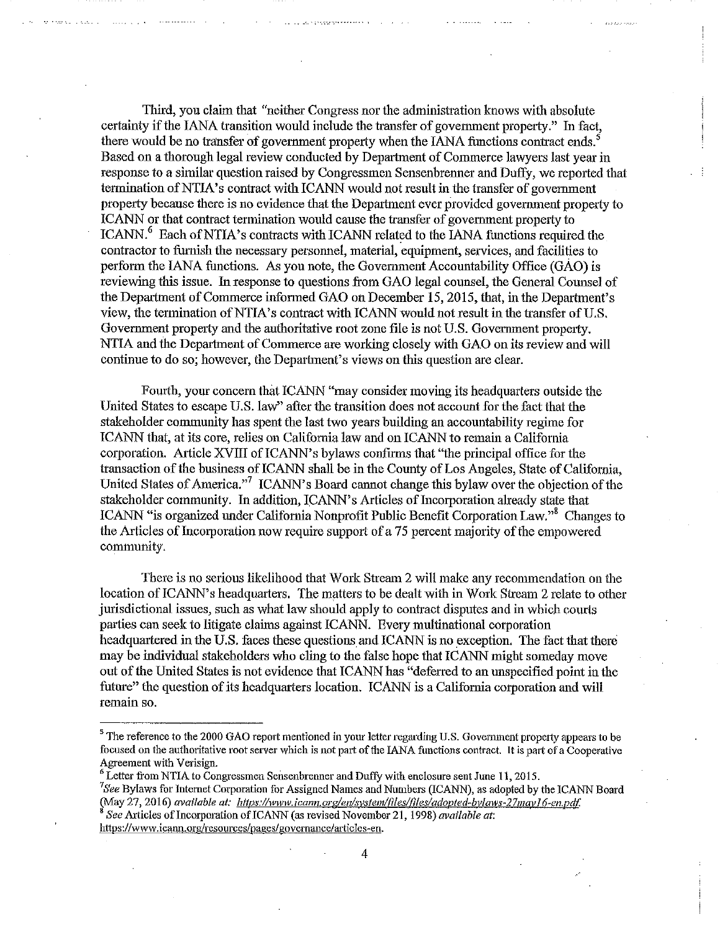Third, you claim that "neither Congress nor the administration knows with absolute certainty if the lANA transition would include the transfer of government property." In fact, there would be no transfer of government property when the IANA functions contract ends. Based on a thorough legal review conducted by Department of Commerce lawyers last year in response to a similar question raised by Congressmen Sensenbrenner and Duffy, we reported that termination of NTIA's contract with ICANN would not result in the transfer of government property because there is no evidence that the Department ever provided government property to ICANN or that contract termination would cause the transfer of government property to ICANN.<sup>6</sup> Each of NTIA's contracts with ICANN related to the IANA functions required the contractor to furnish the necessary personnel, material, equipment, services, and facilities to perform the lANA functions. As you note, the Govermnent Accountability Office (GAO) is reviewing this issue. In response to questions from GAO legal counsel, the General Counsel of the Department of Commerce infonned GAO on December 15, 2015, that, in the Department's view, the termination ofNTIA's contract with ICANN would not result in the transfer of U.S. Government property and the authoritative root zone file is not U.S. Government property. NTIA and the Department of Commerce are working closely with GAO on its review and will continue to do so; however, the Department's views on this question are clear.

Fourth, your concern that ICANN "may consider moving its headquarters outside the United States to escape U.S. law" after the transition does not account for the fact that the stakeholder community has spent the last two years building an accountability regime for ICANN that, at its core, relies on California law and on ICANN to remain a California corporation. Article XVIII of ICANN's bylaws confirms that "the principal office for the transaction of the business of ICANN shall be in the County of Los Angeles, State of California, United States of America."<sup>7</sup> ICANN's Board cannot change this bylaw over the objection of the stakeholder community. In addition, ICANN's Articles of Incorporation already state that ICANN "is organized under California Nonprofit Public Benefit Corporation Law."<sup>8</sup> Changes to the Articles of Incorporation now require support of a 75 percent majority of the empowered community.

There is no serious likelihood that Work Stream 2 will malce any recommendation on the location of ICANN's headquarters. The matters to be dealt with in Work Stream 2 relate to other jurisdictional issues, such as what law should apply to contract disputes and in which courts parties can seek to litigate claims against ICANN. Every multinational corporation headquartered in the U.S. faces these questions and ICANN is no exception. The fact that there may be individual stakeholders who cling to the false hope that ICANN might someday move out of the United States is not evidence that ICANN has "deferred to an unspecified point in the future" the question of its headquarters location. ICANN is a California corporation and will remain so.

<sup>&</sup>lt;sup>5</sup> The reference to the 2000 GAO report mentioned in your letter regarding U.S. Government property appears to be **focused on the authoritative root server which is not part of the lANA functions contract. It is part of a Cooperative Agreement with Verisign.** 

<sup>&</sup>lt;sup>6</sup> Letter from NTIA to Congressmen Sensenbrenner and Duffy with enclosure sent June 11, 2015.

*<sup>7</sup> See* Bylaws for Internet Corporation for Assigned Names and Numbers (ICANN), as adopted by the ICANN Board (May 27, 2016) *available at: https://www.jcann.org/en/system/files/files/adopted-bylaws-27may16-en.pdf.* 

*See Articles of Incorporation of ICANN (as revised November 21, 1998) <i>available at:* **https://www.icann.org/resources/pages/governance/articles-en.**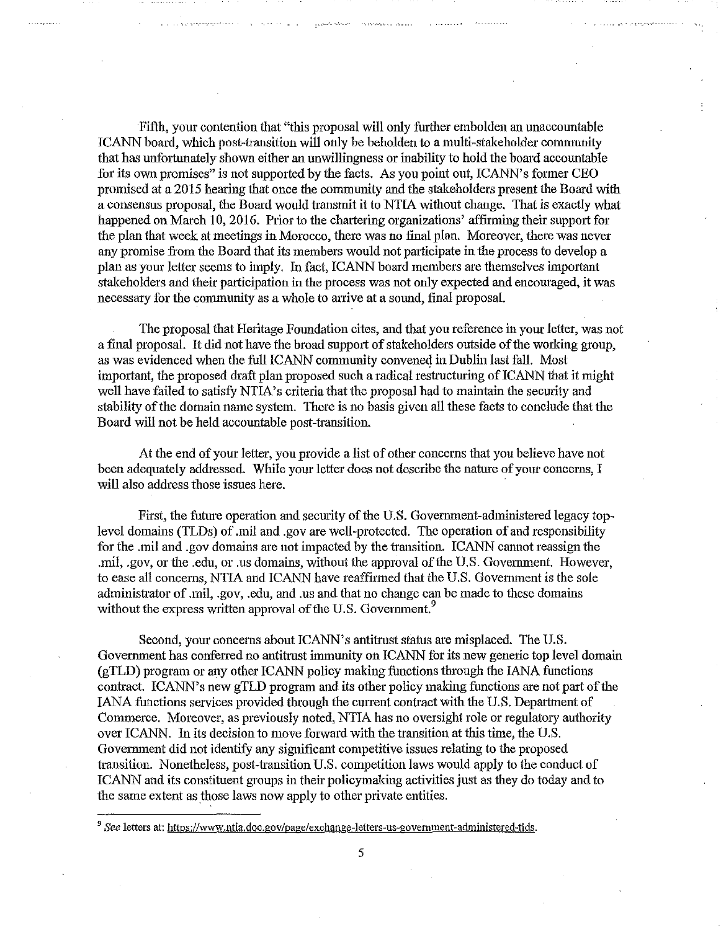Fifth, your contention that "this proposal will only further embolden an unaccountable ICANN board, which post-transition will only be beholden to a multi-stakeholder community that has unfortunately shown either an unwillingness or inability to hold the board accountable for its own promises" is not supported by the facts. As you point out, ICANN's former CEO promised at a 2015 hearing that once the community and the stakeholders present the Board with a consensus proposal, the Board would transmit it to NTIA without change. That is exactly what happened on March 10, 2016. Prior to the chartering organizations' affirming their support for the plan that week at meetings in Morocco, there was no final plan. Moreover, there was never any promise from the Board that its members would not participate in the process to develop a plan as your letter seems to imply. In fact, ICANN board members are themselves important stalceholders and their participation in the process was not only expected and encouraged, it was necessary for the community as a whole to arrive at a sound, final proposal.

The proposal that Heritage Fouodation cites, and that you reference in your letter, was not a final proposal. It did not have the broad support of stakeholders outside of the working group, as was evidenced when the full ICANN community convened in Dublin last fall. Most important, the proposed draft plan proposed such a radical restructuring of ICANN that it might well have failed to satisfy NTIA's criteria that the proposal had to maintain the security and stability of the domain name system. There is no basis given all these facts to conclude that the Board will not be held accountable post-transition.

At the end of your letter, you provide a list of other concerns that you believe have not been adequately addressed. While your letter does not describe the nature of your concerns, I will also address those issues here.

First, the futme operation and security of the U.S. Govemment-administered legacy toplevel domains (TLDs) of .mil and .gov are well-protected. The operation of and responsibility for the .mil and .gov domains are not impacted by the transition. ICANN cannot reassign the .mil, .gov, or the .edu, or .us domains, without the approval of the U.S. Government. However, to ease all concerns, NTIA and ICANN have reaffirmed that the U.S. Government is the sole administrator of .mil, .gov, .edu, and .us and that no change can be made to these domains without the express written approval of the U.S. Government.<sup>9</sup>

Second, your concems about ICANN's antitrust status are misplaced. The U.S. Government has conferred no antitrust immunity on ICANN for its new generic top level domain (gTLD) program or any other ICANN policy making functions through the lANA functions contract. ICANN's new gTLD program and its other policy making fuoctions are not part of the IANA functions services provided through the cmrent contract with the U.S. Department of Commerce. Moreover, as previously noted, NTIA has no oversight role or regulatory authority over ICANN. In its decision to move forward with the transition at this time, the U.S. Government did not identify any significant competitive issues relating to the proposed transition. Nonetheless, post-transition U.S. competition laws would apply to the conduct of ICANN and its constituent groups in their policymaking activities just as they do today and to the same extent as those laws now apply to other private entities.

<sup>&</sup>lt;sup>9</sup> See letters at: https://www.ntia.doc.gov/page/exchange-letters-us-government-administered-tids.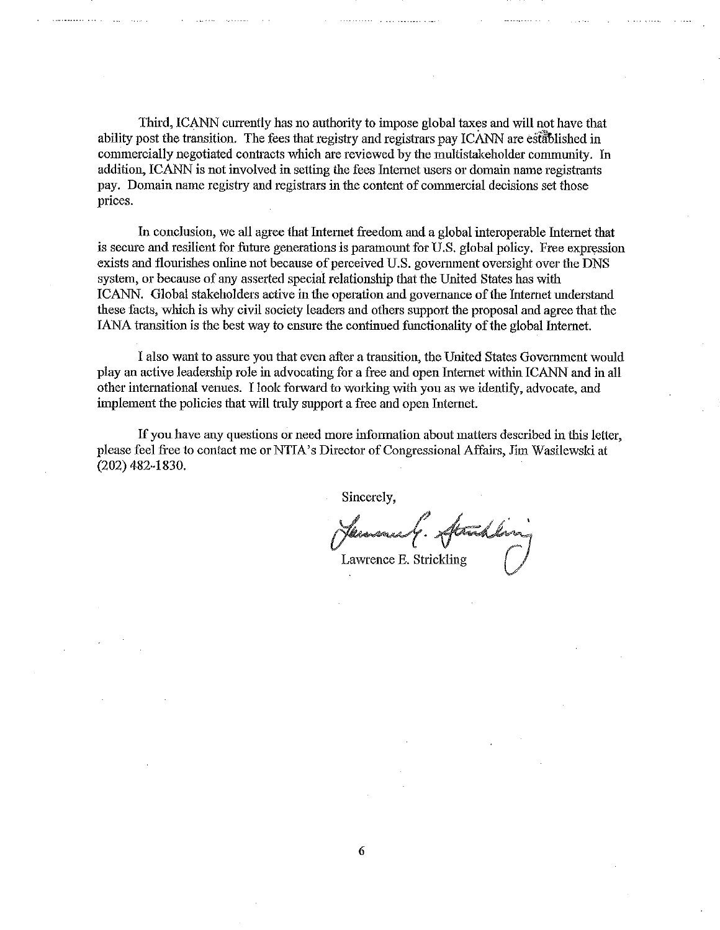Third, ICANN currently has no authority to impose global taxes and will not have that ability post the transition. The fees that registry and registrars pay ICANN are established in commercially negotiated contracts which are reviewed by the multistakeholder community. In addition, ICANN is not involved in setting the fees Internet users or domain name registrants pay. Domain name registry and registrars in the content of commercial decisions set those prices.

In conclusion, we all agree that Internet freedom and a global interoperable Intemet that is secure and resilient for future generations is paramount for U.S. global policy. Free expression exists and flourishes ouline not because of perceived U.S. government oversight over the DNS system, or because of any asserted special relationship that the United States has with ICANN. Global stakeholders active in the operation and governance of the lntemet understand these facts, which is why civil society leaders and others support the proposal and agree that the lANA transition is the best way to ensure the continued functionality of the global Internet.

I also want to assure you that even after a transition, the United States Government would play an active leadership role in advocating for a free and open Intemet within ICANN and in all other international venues. I look forward to working with you as we identify, advocate, and implement the policies that will truly support a free and open Internet.

If you have any questions or need more information about matters described in this letter, please feel free to contact me or NTIA's Director of Congressional Affairs, Jim Wasilewski at (202) 482-1830.

Sincerely,

Sincerely,<br>Chemanue G. Strandling<br>Lawrence E. Strickling ()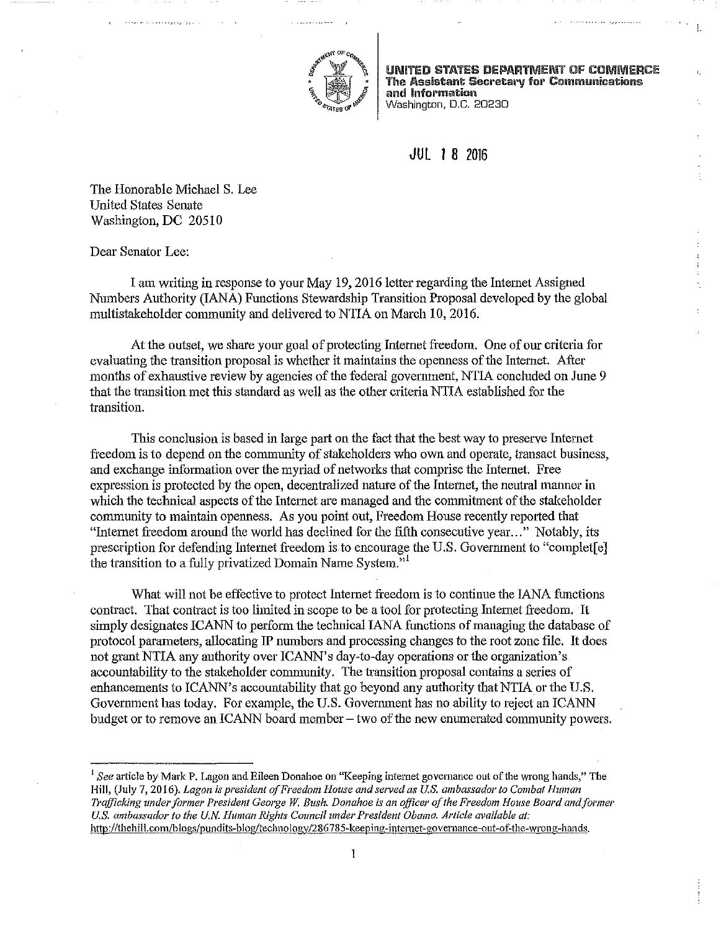

UNITED STATES DEPARTMENT OF COMMERCE The Assistant Secretary for Communications and Information Washington, D.C. 20230

## **JUL** 1 8 2016

The Honorable Michael S. Lee United States Senate Washington, DC 20510

Dear Senator Lee:

I am writing in response to your May 19, 2016 letter regarding the Internet Assigned Numbers Authority (lANA) Functions Stewardship Transition Proposal developed by the global multistalceholder community and delivered to NTIA on March 10, 2016.

At the outset, we share your goal of protecting Internet freedom. One of our criteria for evaluating the transition proposal is whether it maintains the openness of the Internet. After months of exhaustive review by agencies of the federal government, NTIA concluded on June 9 that the transition met this standard as well as the other criteria NTIA established for the transition.

This conclusion is based in large part on the fact that the best way to preserve Internet freedom is to depend on the community of stakeholders who own and operate, transact business, and exchange information over the myriad of networks that comprise the Internet. Free expression is protected by the open, decentralized nature of the Intemet, the neutral manner in which the technical aspects of the Internet are managed and the commitment of the stakeholder community to maintain openness. As you point out, Freedom House recently repotted that "Intemet freedom around the world has declined for the fifth consecutive year ... " Notably, its prescription for defending Internet freedom is to encourage the U.S. Government to "complet[e] the transition to a fully privatized Domain Name System."<sup>1</sup>

What will not be effective to protect Internet freedom is to continue the lANA functions contract. That contract is too limited in scope to be a tool for protecting Internet freedom. ·It simply designates ICANN to perform the technical IANA functions of managing the database of protocol parameters, allocating IP nnmbers and processing changes to the root zone file. It does not grant NTIA any authority over ICANN's day-to-day operations or the organization's accountability to the stalceholder community. The transition proposal contains a series of enhancements to ICANN's accountability that go beyond any authority that NTIA or the U.S, Govemment has today. For example, the U.S. Government has no ability to reject an ICANN budget or to remove an ICANN board member  $-$  two of the new enumerated community powers.

<sup>1</sup> See article by Mark P. Lagon and Eileen Donahoe on "Keeping internet governance out of the wrong hands," The **Hill, (July 7, 2016).** *Lagon ;s president of Freedom House and served as U.S. ambassador to Combat Human 7l'cifjicking under former President George* W: *Bush. Donahoe is an officer of the Freedom House Board andformer*  U.S. ambassador to the U.N. Human Rights Council under President Obama. Article available at: http://thehill.com/blogs/pundits-blog/technology/286785-keeping-internet-governance-out-of-the-wrong-hands.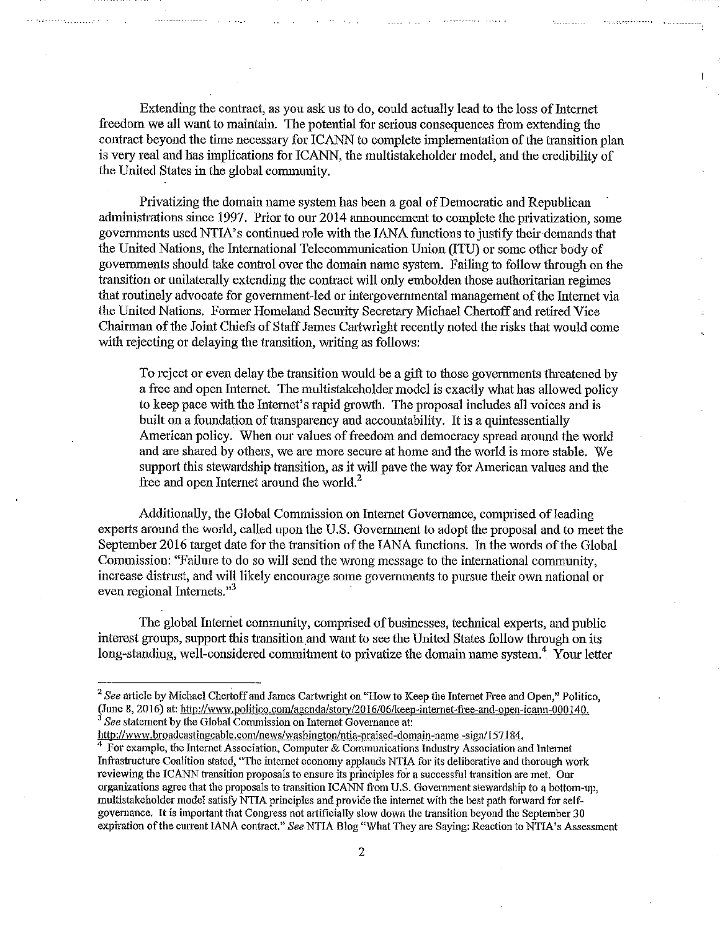Extending the contract, as you ask us to do, could actually lead to the loss of Internet freedom we all want to maintain. The potential for serious consequences from extending the contract beyond the time necessary for ICANN to complete implementation of the transition plan is very real and has implications for ICANN, the multistakeholder model, and the credibility of the United States in the global community.

Privatizing the domain name system has been a goal of Democratic and Republican administrations since 1997. Prior to our 2014 announcement to complete the privatization, some governments used NTIA' s continued role with the lANA functions to justify their demands that the United Nations, the International Telecommunication Union (ITU) or some other body of governments should take control over the domain name system. Failing to follow through on the transition or unilaterally extending the contract will only embolden those authoritarian regimes that routinely advocate for government-led or intergovernmental management of the Internet via the United Nations, Former Homeland Security Secretary Michael Chertoff and retired Vice Chairman of the Joint Chiefs of Staff James Cartwright recently noted the risks that would come with rejecting or delaying the transition, writing as follows:

To reject or even delay the transition would be a gift to those governments threatened by a free and open Intemet. The multistakeholder model is exactly what has allowed policy to keep pace with the Intemet' s rapid growth. The proposal includes all voices and is built on a foundation of transparency and accountability. It is a quintessentially American policy. When our values of freedom and democracy spread around the world and are shared by others, we are more secure at home and the world is more stable. We support this stewardship transition, as it will pave the way for American values and the free and open Internet around the world. $<sup>2</sup>$ </sup>

Additionally, the Global Commission on Internet Governance, comprised of leading experts around the world, called upon the U.S. Government to adopt the proposal and to meet the September 2016 target date for the transition of the IANA functions. In the words of the Global Commission: "Failure to do so will send the wrong message to the international community, increase distrust, and will likely encomage some governments to pursue their own national or even regional Internets."<sup>3</sup>

The global Internet community, comprised of businesses, technical experts, and public interest groups, support this transition and want to see the United States follow through on its long-standing, well-considered commitment to privatize the domain name system.<sup>4</sup> Your letter

<sup>2</sup>*See* article by Michael Chertoff and James Cattwright on "How to Keep the Intemet Free and Open," Politico, (June 8, 2016) at: http://www.politico.com/agenda/story/2016/06/keep-internet-free-and-open-icann-000140.<br><sup>3</sup> *See* statement by the Global Commission on Internet Governance at:

http://www.broadcastingcable.com/news/washin gton/ntia-praised-domain-name -sign/157184. 4 **For example, the Internet Association, Computer & Communications Industry Association and lntemet**  Infrastructure Coalition stated, 'The internet economy applauds NTIA for its deliberative and thorough work reviewing the ICANN transition proposals to ensure its principles for a successful transition are met. Our organizations agree that the proposals to transition ICANN from U.S. Government stewardship to a bottom-up, multistakeholder model satisfy NTIA principles and provide the internet with the best path forward for selfgovemance. It is important that Congress not artificially slow down the transition beyond the September 30 **expiration ofthe current lANA contract.,)** *See.NTIA* **Blog ((What They are Saying: Reaction to NTIA's Assessment**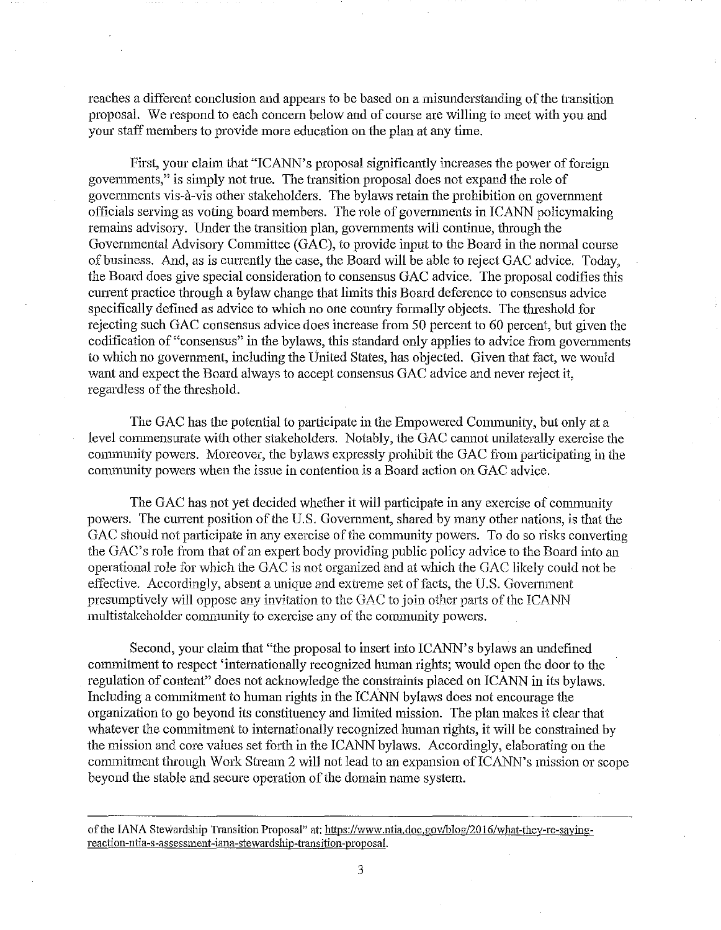reaches a different conclusion and appears to be based on a misunderstanding of the transition proposal. We respond to each concern below and of course are willing to meet with you and your staff members to provide more education on the plan at any time.

First, your claim that "ICANN's proposal significantly increases the power of foreign governments," is simply not true. The transition proposal does not expand the role of govermnents vis-a-vis other stakeholders. The bylaws retain the prohibition on govermnent officials serving as voting board members. The role of governments in ICANN policymaking remains advisory. Under the transition plan, govermnents will continue, through the Govermnental Advisory Committee (GAC), to provide input to the Board in the nonnal course of business. And, as is currently the case, the Bomd will be able to reject GAC advice. Today, the Board does give special consideration to consensus GAC advice. The proposal codifies this cunent practice through a bylaw change that limits this Board deference to consensus advice specifically defined as advice to which no one country formally objects. The threshold for rejecting such GAC consensus advice does increase from 50 percent to 60 percent, but given the codification of "consensus" in the bylaws, this standard only applies to advice from governments to which no govermnent, including the United States, has objected. Given that fact, we would want and expect the Board always to accept consensus GAC advice and never reject it, regardless of the threshold.

The GAC has the potential to participate in the Empowered Community, but only at a level commensurate with other stakeholders. Notably, the GAC cannot unilaterally exercise the connmmity powers. Moreover, the bylaws expressly prohibit the GAC from participating in the community powers when the issue in contention is a Board action on GAC advice.

The GAC has not yet decided whether it will participate **in** any exercise of community powers. The current position of the U.S. Government, shared by many other nations, is that the GAC should not participate in any exercise of the community powers. To do so risks converting the GAC's role from that of an expert body providing public policy advice to the Board into an operational role for which the GAC is not organized and at which the GAC likely could not be effective. Accordingly, absent a unique and extreme set of facts, the U.S. Govemment presumptively will oppose any invitation to the GAC to join other parts of the ICANN multistakeholder community to exercise any of the community powers.

Second, your claim that "the proposal to insert into ICANN' s bylaws an undefined commitment to respect 'intemationally recognized human rights; would open the door to the regulation of content<sup>3</sup> does not acknowledge the constraints placed on ICANN in its bylaws. Including a commitment to human rights in the ICANN bylaws does not encourage the organization to go beyond its constituency and limited mission. The plan makes it clear that whatever the commitment to internationally recognized human rights, it will be constrained by the mission and core values set forth in the ICANN bylaws. Accordingly, elaborating on the commitment through Work Stream 2 will not lead to an expansion of ICANN's mission or scope beyond the stable and secure operation of the domain name system.

of the IANA Stewardship Transition Proposal" at: https://www.ntia.doc.gov/blog/2016/what-they-re-saying**reaction-ntia-s-assessment-iana-stewardship-transition-proposal.**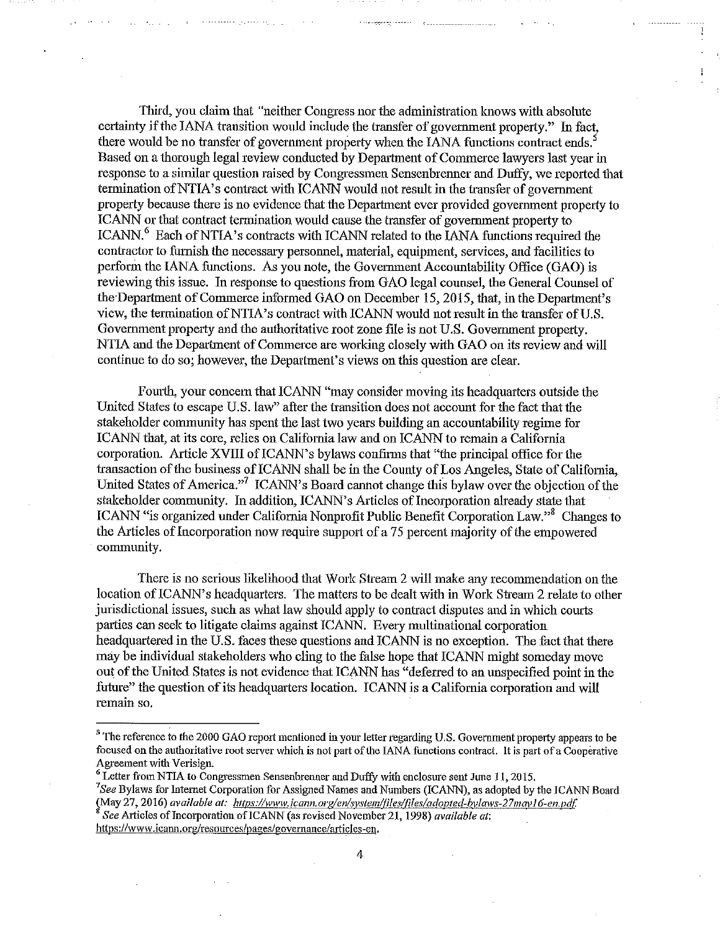Third, you claim that "neither Congress nor the administration knows with absolute certainty if the lANA transition would include the transfer of government property." In fact, there would be no transfer of government property when the IANA functions contract ends. Based on a thorough legal review conducted by Department of Commerce lawyers last year in response to a similar question raised by Congressmen Sensenbrenner and Duffy, we reported that termination of NTIA's contract with ICANN would not result in the transfer of government property because there is no evidence that the Department ever provided government property to ICANN or that contract termination would cause the transfer of government property to ICANN.<sup>6</sup> Each of NTIA's contracts with ICANN related to the IANA functions required the contractor to furnish the necessary personnel, material, equipment, services, and facilities to perform the IANA functions. As you note, the Govemment Accountability Office (GAO) is reviewing this issue. In response to questions from GAO legal counsel, the General Counsel of the-Department of Commerce informed GAO on December 15, 2015, that, in the Department's view, the termination ofNTIA's contract with ICANN would not result in the transfer of U.S. Govemment property and the authoritative root zone file is not U.S. Govemment property. NTIA and the Department of Commerce are working closely with GAO on its review and will continue to do so; however, the Department's views on this question are clear.

Fomih, your concern that ICANN "may consider moving its headquarters outside the United States to escape U.S. law" after the transition does not account for the fact that the stakeholder comrnmlity has spent the last two years building an accountability regime for ICANN that, at its core, relies on Califomia law and on ICANN to remain a California corporation. Article XVIII of ICANN's bylaws confirms that "the principal office for the transaction of the business of ICANN shall be in the County of Los Angeles, State of California, United States of America."<sup>7</sup> ICANN's Board cannot change this bylaw over the objection of the stakeholder community. In addition, ICANN's Articles of Incorporation already state that ICANN "is organized under California Nonprofit Public Benefit Corporation Law."<sup>8</sup> Changes to the Articles of Incorporation now require support of a 75 percent majority of the empowered community.

There is no serious likelihood that Work Stream 2 will make any recommendation on the location of ICANN's headquarters. The matters to be dealt with in Work Stream 2 relate to other jurisdictional issues, such as what law should apply to contract disputes and in which courts parties can seek to litigate claims against ICANN. Every multinational corporation headquartered in the U.S. faces these questions and ICANN is no exception. The fact that there may be individual stakeholders who cling to the false hope that ICANN might someday move out of the United States is not evidence that ICANN has "deferred to an unspecified point in the future" the question of its headquarters location. ICANN is a California corporation and will remain so.

(May 27, 2016) *available at: https://www.icann.org/en/system/files/files/adopted-bylaws-27may16-en.pdf.*<br><sup>8</sup> *See* Articles of Incorporation of ICANN (as revised November 21, 1998) *available at*:

**https://www.icann.org/resources/pages/governance/articles-en.** 

4

<sup>&</sup>lt;sup>5</sup> The reference to the 2000 GAO report mentioned in your letter regarding U.S. Government property appears to be **focused on the authoritative root server which** *is* **not part of the lANA functions contract. It is part of a Cooperative Agreement with Verisign.** 

<sup>&</sup>lt;sup>6</sup> Letter from NTIA to Congressmen Sensenbrenner and Duffy with enclosure sent June 11, 2015. *See* Bylaws for Internet Corporation for Assigned Names and Numbers (ICANN), as adopted by the ICANN Board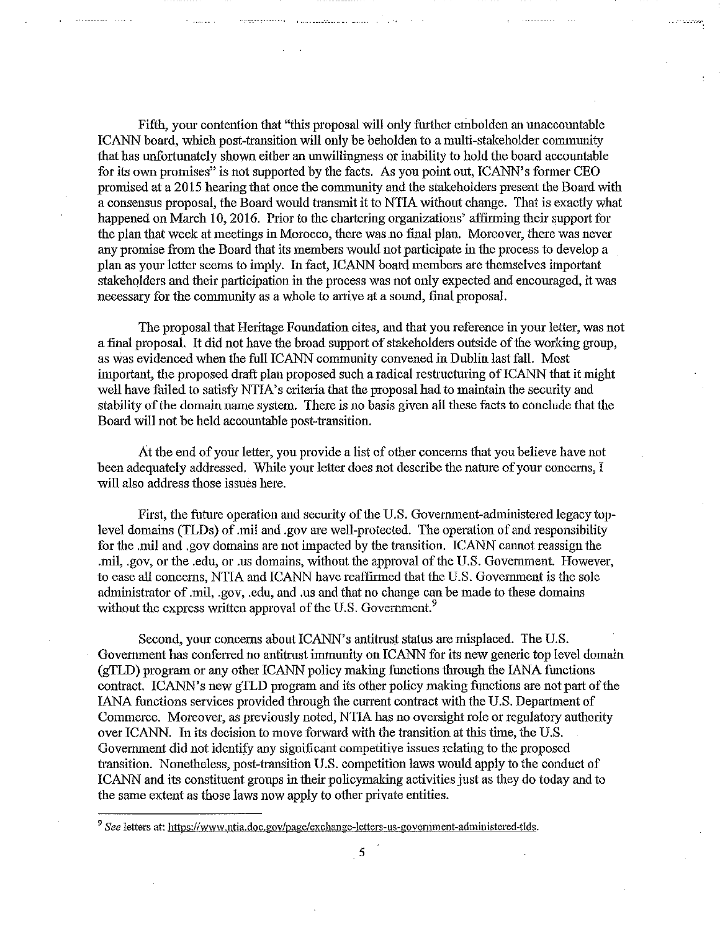Fifth, your contention that "this proposal will only further embolden an unaccountable ICANN board, which post-transition will only be beholden to a multi-stakeholder connnunity that has unfortunately shown either an unwillingness or inability to hold the board accountable for its own promises" is not supported by the facts. As you point out, ICANN's former CEO promised at a 2015 hearing that once the community and the stakeholders present the Board with a consensus proposal, the Board would transmit it to NTIA without change. That is exactly what happened on March 10, 2016. Prior to the chartering organizations' affirming their support for the plan that week at meetings in Morocco, there was no final plan. Moreover, there was never any promise from the Board that its members would not participate in the process to develop a plan as your letter seems to imply. In fact, ICANN board members are themselves important stakeholders and their participation in the process was not only expected and encouraged, it was necessary for the community as a whole to arrive at a sound, final proposal.

The proposal that Heritage Foundation cites, and that you reference in your letter, was not a final proposal. It did not have the broad suppoti of stakeholders outside of the working group, as was evidenced when the full ICANN community convened in Dublin last fall. Most important, the proposed draft plan proposed such a radical restructuring of ICANN that it might well have failed to satisfy NTIA's criteria that the proposal had to maintain the security and stability of the domain name system. There is no basis given all these facts to conclude that the Board will not be held accountable post-transition.

At the end of your letter, you provide a list of other concems that you believe have not been adequately addressed. While your letter does not describe the nature of your concerns, I will also address those issues here.

First, the future operation and security of the U.S. Government-administered legacy toplevel domains (TLDs) of .mil aud .gov are well-protected. The operation of and responsibility for the .mil and .gov domains are not impacted by the transition. ICANN cannot reassign the .mil, .gov, or the .edu, or .us domains, without the approval of the U.S. Government. However, to ease all concems, NTIA and ICANN have reaffinned that the U.S. Government is the sole administrator of .mil, .gov, .edu, and .us and that no change can be made to these domains without the express written approval of the U.S. Government.<sup>9</sup>

Second, your concerns about ICANN's antitrust status are misplaced. The U.S. Government has conferred no antitrust immunity on ICANN for its new generic top level domain (gTLD) program or any other ICANN policy making functions through the lANA functions contract. ICANN's new gTLD program and its other policy making functions are not part of the lANA functions services provided through the current contract with the U.S. Department of Commerce. Moreover, as previously noted, NTIA has no oversight role or regulatory authority over ICANN. In its decision to move forward with the transition at this time, the U.S. Govemment did not identify any significant competitive issues relating to the proposed transition. Nonetheless, post-transition U.S. competition laws would apply to the conduct of ICANN and its constituent groups in their policymaking activities just as they do today and to the same extent as those laws now apply to other private entities.

5

<sup>&</sup>lt;sup>9</sup> See letters at: https://www.ntia.doc.gov/page/exchange-letters-us-government-administered-tlds.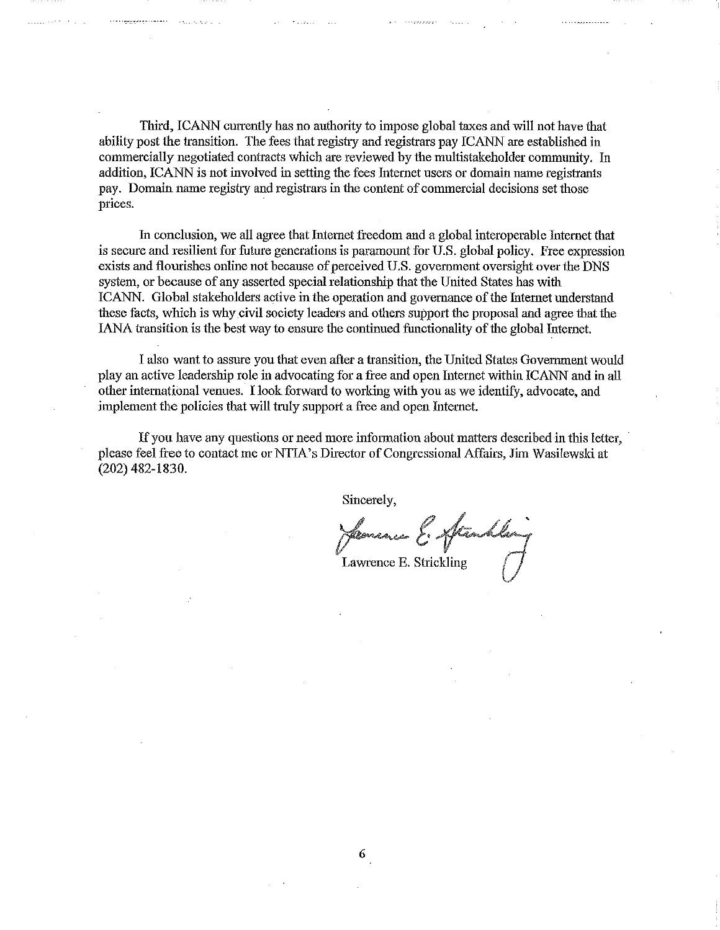Third, ICANN currently has no authority to impose global taxes and will not have that ability post the transition. The fees that registry and registrars pay ICANN are established in commercially negotiated contracts which are reviewed by the multistakeholder community. In addition, ICANN is not involved in setting the fees Internet users or domain name registrants pay. Domain name registry and registrars in the content of commercial decisions set those prices.

In conclusion, we all agree that Internet freedom and a global interoperable Internet that is secure and resilient for future generations is paramount for U.S. global policy. Free expression exists and flourishes online not because of perceived U.S. government oversight over the DNS system, or because of any asserted special relationship that the United States has with ICANN. Global stakeholders active in the operation and governance of the Internet understand these facts, which is why civil society leaders and others support the proposal and agree that the lANA transition is the best way to ensure the continued functionality of the global Internet.

I also want to assme you that even after a transition, the United States Government would play an active leadership role in advocating for a free and open Internet within ICANN and in all other international venues. I look forward to working with you as we identity, advocate, and implement the policies that will truly support a free and open Intemet.

If you have any questions or need more information about matters described in this letter, please feel free to contact me or NTIA's Director of Congressional Affairs, Jim Wasilewski at (202) 482-1830.

Sincerely,

Hermanco E. Aftrashla Lawrence E. Strickling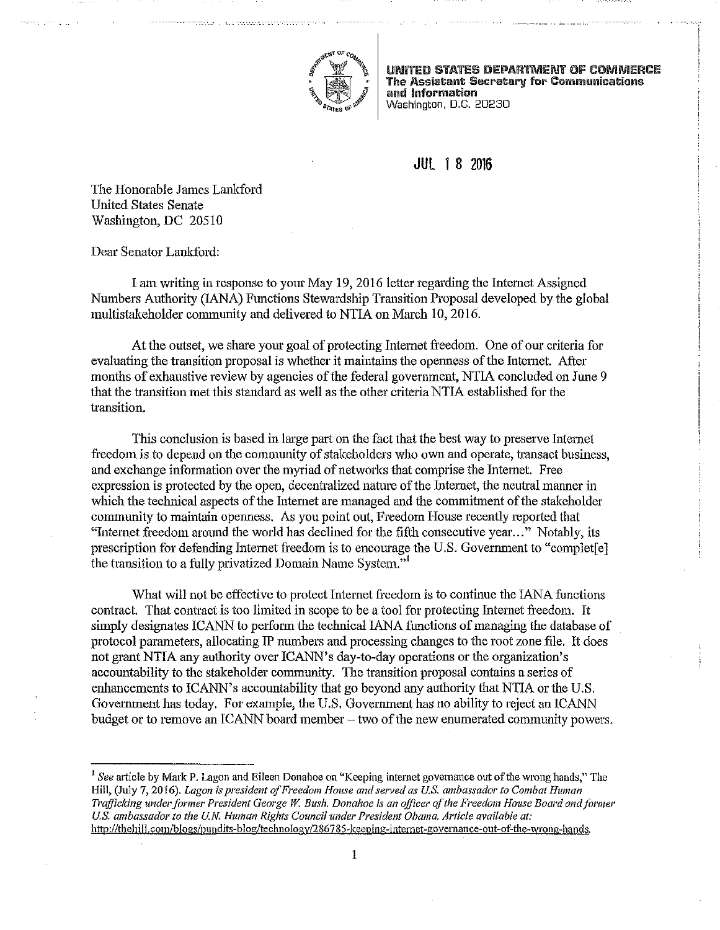

UNITED STATES DEPARTMENT OF COMMERCE The Assistant Secretary for Communications and Information Washington, D.C. 20230

## **JUl** 1 8 2016

The Honorable James Lankford United States Senate Washington, DC 20510

Dear Senator Lankford:

I am writing in response to yom May 19, 2016 letter regarding the Internet Assigned Numbers Authority (lANA) Functions Stewardship Transition Proposal developed by the global multistakeholder community and delivered to NTIA on March 10, 2016.

At the outset, we share your goal of protecting Internet freedom. One of our criteria for evaluating the transition proposal is whether it maintains the openness of the Internet. After months of exhaustive review by agencies of the federal government, NTIA concluded on June 9 that the transition met this standard as well as the other criteria NTIA established for the transition.

This conclusion is based in large part on the fact that the best way to preserve Internet freedom is to depend on the community of stakeholders who own and operate, transact business, and exchange information over the myriad of networks that comprise the Internet. Free expression is protected by the open, decentralized nature of the Intemet, the neutral manner in which the technical aspects of the Internet are managed and the commitment of the stakeholder connunity to maintain openness. As you point out, Freedom House recently repmted that "Intemet freedom around the world has declined for the fifth consecutive year ... " Notably, its prescription for defending Internet freedom is to encourage the U.S. Government to "completel the transition to a fully privatized Domain Name System."

What will not be effective to protect Intemet freedom is to continue the lANA functions contract. That contract is too limited in scope to be a tool for protecting Internet freedom. It simply designates ICANN to perform the technical IANA functions of managing the database of protocol parameters, allocating IP numbers and processing changes to the root zone file. It does not grant NTIA any authority over ICANN's day-to-day operations or the organization's accountability to the stakeholder community. The transition proposal contains a series of enhancements to ICANN's accountability that go beyond any authority that NTIA or the U.S. Govemment has today. For example, the U.S. Govemment has no ability to reject an ICANN budget or to remove an ICANN board member  $-$  two of the new enumerated community powers.

<sup>1</sup>*See* atticle by Mark P. Lagon and Eileen Donahoe on "Keeping internet govemance out of the wrong hands," The **Hill, (July 7, 2016).** *Lagon is president of Freedom House and served as U.S. ambassador to Combat Human T1'afficking underformer President George* **W.** *Bush. Donahoe is an officer of the Freedom House Board and fanner US. ambassador to the U.N. Human Rights Council under President Obama. Article available at:*  **http://thehill.com/blogs/pundits-blog/technoiogy/286785-keeping-internet-governance-out-of-the-wrong-hands.**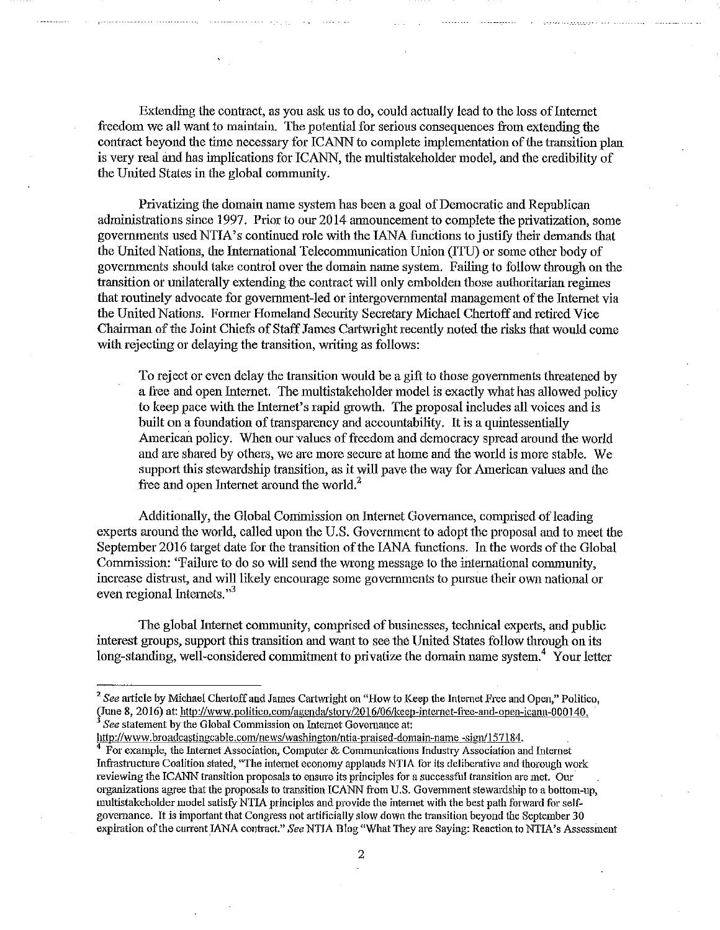Extending the contract, as you ask us to do, could actually lead to the loss of Internet freedom we all want to maintain. The potential for serious consequences from extending the contract beyond the time necessary for ICANN to complete implementation of the transition plan is very real and has implications for ICANN, the multistakeholder model, and the credibility of the United States in the global community.

Privatizing the domain name system has been a goal of Democratic and Republican administrations since 1997. Prior to our 2014 announcement to complete the privatization, some govemments used NTIA' s continued role with the lANA functions to justify their demands that the United Nations, the Intemational Telecommunication Union (ITU) or some other body of governments should take control over the domain name system. Failing to follow through on the transition or unilaterally extending the contract will only embolden those authoritarian regimes that routinely advocate for government-led or intergovernmental management of the Intemet via the United Nations. Former Homeland Security Secretary Michael Chertoff and retired Vice Chairman of the Joint Chiefs of Staff James Cartwright recently noted the risks that would come with rejecting or delaying the transition, writing as follows:

To reject or even delay the transition would be a gift to those govemments threatened by a free and open Intemet. The multistakeholder model is exactly what has allowed policy to keep pace with the Internet's rapid growth. The proposal includes all voices and is built on a foundation of transparency and accountability. It is a quintessentially American policy. When our values of freedom and democracy spread around the world and are shared by others, we are more secure at home and the world is more stable. We support this stewardship transition, as it will pave the way for American values and the free and open Internet around the world.<sup>2</sup>

Additionally, the Global Commission on Internet Governance, comprised of leading experts around the world, called upon the U.S. Government to adopt the proposal and to meet the September 2016 target date for the transition of the IANA functions. In the words of the Global Commission: "Failure to do so will send the wrong message to the international community, increase distrust, and will likely encourage some governments to pursue their own national or even regional Internets."<sup>3</sup>

The global Intemet community, comprised of businesses, technical experts, and public interest groups, support this transition and want to see the United States follow through on its long-standing, well-considered commitment to privatize the domain name system.<sup>4</sup> Your letter

http://www.broadcastingcable.com/news/washington/ntia-praised-domain-name -sign/157184.

<sup>&</sup>lt;sup>2</sup> See article by Michael Chertoff and James Cartwright on "How to Keep the Internet Free and Open," Politico, (June 8, 2016) at: http://www.politico.com/agenda/story/2016/06/keep-internet-free-and-open-icann-000140.<br><sup>3</sup> *See* statement by the Global Commission on Internet Governance at:

<sup>4</sup>**For example, the Internet Association, Computer & Communications Industry Association and Internet**  Infrastructure Coalition stated, 'The internet economy applauds NTIA for its deliberative and thorough work **reviewing the ICANN transition proposals to ensure its principles for a successfhl transition are met. Our**  organizations agree that the proposals to transition ICANN from U.S. Government stewardship to a bottom-up, multistakeholder model satisfy NTIA principles and provide the intemet with the best path forward for selfgovernance. It is important that Congress not artificially slow down the transition beyond the September 30 expiration of the current IANA contract." See NTIA Blog "What They are Saying: Reaction to NTIA's Assessment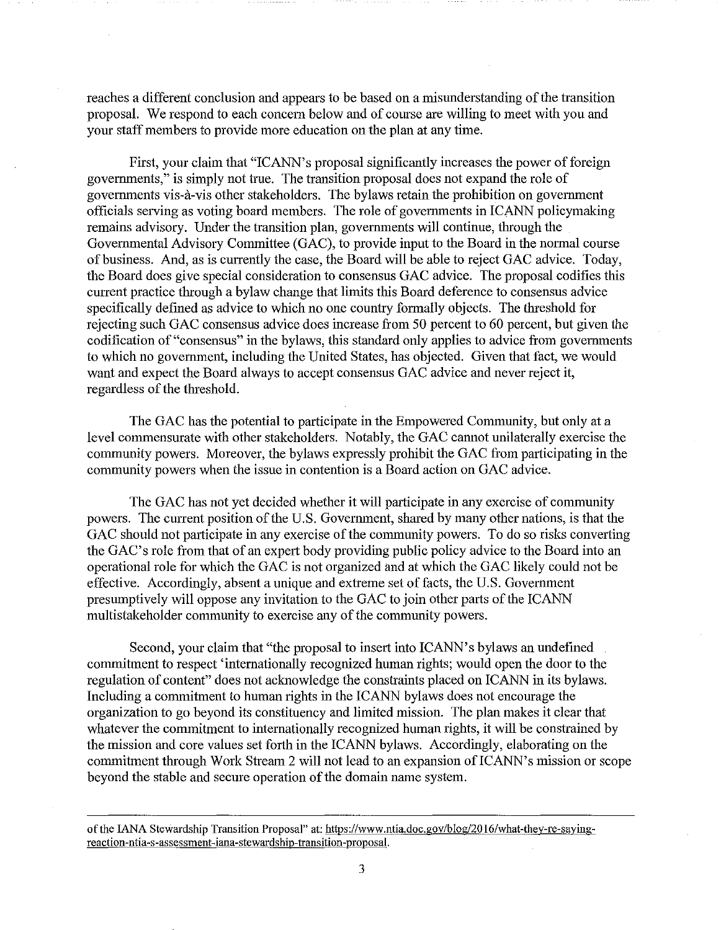reaches a different conclusion and appears to be based on a misunderstanding of the transition proposal. We respond to each concem below and of course are willing to meet with you and your staff members to provide more education on the plan at any time.

First, your claim that "ICANN's proposal significantly increases the power of foreign govemments," is simply not true. The transition proposal does not expand the role of govemments vis-a-vis other stakeholders. The bylaws retain the prohibition on government officials serving as voting board members. The role of govemments in ICANN policymaking remains advisory. Under the transition plan, govemments will continue, through the Govemmental Advisory Committee (GAC), to provide input to the Board in the normal course of business. And, as is currently the case, the Board will be able to reject GAC advice. Today, the Board does give special consideration to consensus GAC advice. The proposal codifies this current practice through a bylaw change that limits this Board deference to consensus advice specifically defined as advice to which no one country formally objects. The threshold for rejecting such GAC consensus advice does increase from 50 percent to 60 percent, but given the codification of "consensus" in the bylaws, this standard only applies to advice from governments to which no govemment, including the United States, has objected. Given that fact, we would want and expect the Board always to accept consensus GAC advice and never reject it, regardless of the threshold.

The GAC has the potential to participate in the Empowered Community, but only at a level commensurate with other stakeholders. Notably, the GAC cannot unilaterally exercise the community powers. Moreover, the bylaws expressly prohibit the GAC from participating in the community powers when the issue in contention is a Board action on GAC advice.

The GAC has not yet decided whether it will participate in any exercise of community powers. The cunent position of the U.S. Govermnent, shared by many other nations, is that the GAC should not participate in any exercise of the community powers. To do so risks converting the GAC's role from that of an expert body providing public policy advice to the Board into an operational role for which the GAC is not organized and at which the GAC likely could not be effective. Accordingly, absent a unique and extreme set of facts, the U.S. Government presumptively will oppose any invitation to the GAC to join other parts of the ICANN multistakeholder community to exercise any of the community powers.

Second, your claim that "the proposal to insert into ICANN's bylaws an undefined commitment to respect 'internationally recognized human rights; would open the door to the regulation of content" does not acknowledge the constraints placed on ICANN in its bylaws. Including a commitment to human rights in the ICANN bylaws does not encourage the organization to go beyond its constituency and limited mission. The plan makes it clear that whatever the commitment to internationally recognized human rights, it will be constrained by the mission and core values set forth in the ICANN bylaws. Accordingly, elaborating on the commitment through Work Stream 2 will not lead to an expansion of ICANN's mission or scope beyond the stable and secure operation of the domain name system.

of the IANA Stewardship Transition Proposal" at: https://www.ntia.doc.gov/blog/2016/what-they-re-saying**reaction-ntia-s-assessment-iana-stewardship-transition-proposal.**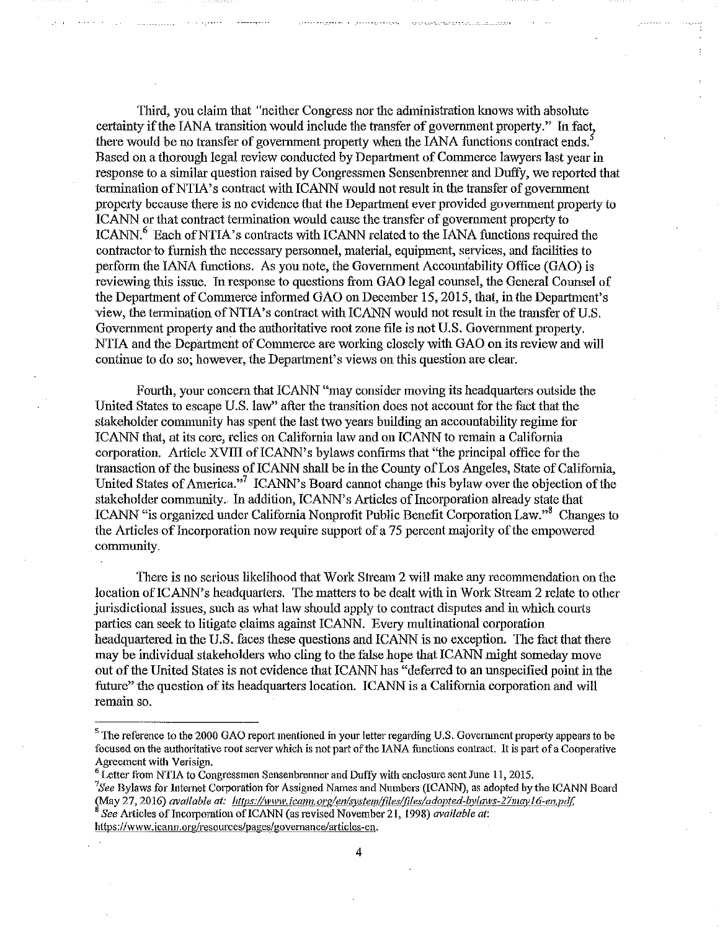Third, you claim that "neither Congress nor the administration knows with absolute certainty if the lANA transition would include the transfer of government property." In fact, there would be no transfer of government property when the IANA functions contract ends.<sup>5</sup> Based on a thorough legal review conducted by Department of Commerce lawyers last year in response to a similar question raised by Congressmen Sensenbrenner and Duffy, we reported that termination of NTIA's contract with ICANN would not result in the transfer of government property because there is no evidence that the Department ever provided government property to ICANN or that contract tennination would cause the transfer of government propetiy to ICANN, <sup>6</sup> Each of NTIA's contracts with ICANN related to the IANA functions required the contractor to furnish the necessary personnel, material, equipment, services, and facilities to perform the lANA functions. As you note, the Government Accountability Office (GAO) is reviewing this issue. In response to questions from GAO legal counsel, the General Counsel of the Department of Commerce informed GAO on December 15, 2015, that, in the Department's view, the termination of NTIA's contract with ICANN would not result in the transfer of U.S. Govemment propetiy and the authoritative root zone file is not U.S. Government property. NTIA and the Department of Commerce are working closely with GAO on its review and will continue to do so; however, the Department's views on this question are clear.

Fourth, your concern that ICANN "may consider moving its headquarters outside the United States to escape U.S. law" after the transition does not account for the fact that the stakeholder community has spent the last two years building an accountability regime for ICANN that, at its core, relies on California law and on ICANN to remain a California corporation. Article XVIII of ICANN's bylaws confirms that "the principal office for the transaction of the business of ICANN shall be in the County of Los Angeles, State of California, United States of America."<sup>7</sup> ICANN's Board cannot change this bylaw over the objection of the stakeholder community. In addition, ICANN's Articles of Incorporation already state that ICANN "is organized under California Nonprofit Public Benefit Corporation Law."<sup>8</sup> Changes to the Articles of Incorporation now require support of a 75 percent majority of the empowered community.

There is no serions likelihood that Work Stream 2 will make any recommendation on the location of ICANN's headquarters. The matters to be dealt with in Work Stream 2 relate to other jurisdictional issues, such as what law should apply to contract disputes and in which courts parties can seek to litigate claims against ICANN. Every multinational corporation headquartered in the U.S. faces these questions and ICANN is no exception. The fact that there may be individual stakeholders who cling to the false hope that ICANN might someday move out of the United States is not evidence that ICANN has "deferred to an nnspecified point in the future" the question of its headquarters location. ICANN is a California corporation and will remain so.

https://www.icann.org/resources/pages/governance/articles-en.

4

<sup>&</sup>lt;sup>5</sup> The reference to the 2000 GAO report mentioned in your letter regarding U.S. Government property appears to be focused on the authoritative root server which is not part of the IANA functions contract. It is part of a Cooperative Agreement with Verisign.

 $6$  Letter from NTIA to Congressmen Sensenbrenner and Duffy with enclosure sent June 11, 2015.

*<sup>7</sup> See* Bylaws for Internet Corporation for Assigned Names and Numbers (ICANN), as adopted by the ICANN Board May 27, 2016) *available at:* https://www.icann.org/en/system/files/files/adopted-bylaws-27may16-en.pdf.<br><sup>8</sup> See Articles of Incorporation of ICANN (as revised November 21, 1998) *available at:*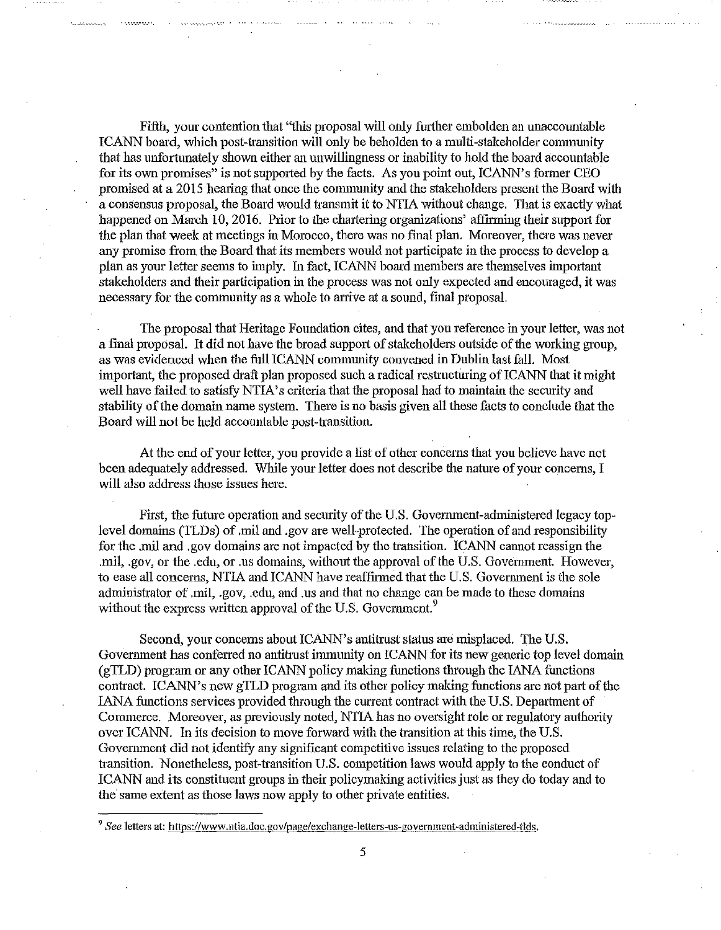Fifth, your contention that "this proposal will only further embolden an unaccountable ICANN board, which post-transition will only be beholden to a multi-stakeholder connnunity that has unfortunately shown either an unwillingness or inability to hold the board accountable for its own promises" is not supported by the facts. As you point out, ICANN's former CEO promised at a 2015 hearing that once the community and the stakeholders present the Board with a consensus proposal, the Board would transmit it to NTIA without change. That is exactly what happened on March 10, 2016. Prior to the chartering organizations' affirming their support for the plan that week at meetings in Morocco, there was no final plan. Moreover, there was never any promise from the Board that its members would not participate in the process to develop a plan as your letter seems to imply. In fact, ICANN board members are themselves important stakeholders and their participation in the process was not only expected and encouraged, it was necessary for the connnunity as a whole to arrive at a sound, final proposal.

The proposal that Heritage Foundation cites, and that you reference in your letter, was not a final proposal. It did not have the broad support of stakeholders outside of the working group, as was evidenced when the full ICANN community convened in Dublin last fall. Most important, the proposed draft plan proposed such a radical restructuring of ICANN that it might well have failed to satisfy NTIA's criteria that the proposal had to maintain the security and stability of the domain name system. There is no basis given all these facts to conclude that the Board will not be held accountable post-transition.

At the end of your letter, you provide a list of other concems that you believe have not been adequately addressed. While your letter does not describe the natme of your concerns, I will also address those issues here.

First, the future operation and security of the U.S. Government-administered legacy toplevel domains (TLDs) of .mil and .gov are well-protected. The operation of and responsibility for the .mil and .gov domains are not impacted by the transition. ICANN cannot reassign the .mil, .gov, or the .edu, or .us domains, without the approval of the U.S. Govemment. However, to ease all concerns, NTIA and ICANN have reaffirmed that the U.S. Government is the sole administrator of .mil, .gov, .edu, and .us and that no change can be made to these domains without the express written approval of the U.S. Government.<sup>9</sup>

Second, your concerns about ICANN's antitrust status are misplaced. The U.S. Government has conferred no antitrust immunity on ICANN for its new generic top level domain (gTLD) program or any other ICANN policy making functions through the IANA functions contract. ICANN's new gTLD program and its other policy making functions are not part of the LANA functions services provided through the current contract with the U.S. Department of Commerce. Moreover, as previously noted, NTIA has no oversight role or regulatory authority over ICANN. In its decision to move forward with the transition at this time, the U.S. Govennnent did not identify any significant competitive issues relating to the proposed transition. Nonetheless, post-transition U.S. competition laws would apply to the conduct of ICANN and its constituent groups in their policymaking activities just as they do today and to the same extent as those laws now apply to other private entities.

<sup>&</sup>lt;sup>9</sup> See letters at: https://www.ntia.doc.gov/page/exchange-letters-us-government-administered-tlds.